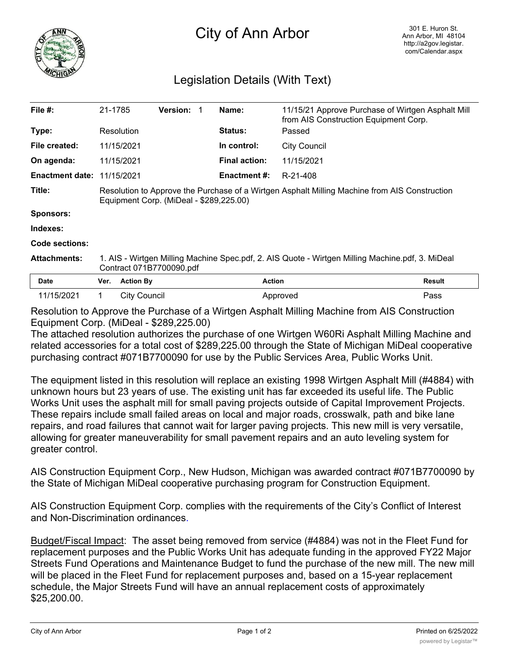

## City of Ann Arbor

## Legislation Details (With Text)

| File $#$ :                        | 21-1785                                                                                                                                  |                     | <b>Version: 1</b> |  | Name:                | 11/15/21 Approve Purchase of Wirtgen Asphalt Mill<br>from AIS Construction Equipment Corp. |        |
|-----------------------------------|------------------------------------------------------------------------------------------------------------------------------------------|---------------------|-------------------|--|----------------------|--------------------------------------------------------------------------------------------|--------|
| Type:                             |                                                                                                                                          | Resolution          |                   |  | <b>Status:</b>       | Passed                                                                                     |        |
| File created:                     |                                                                                                                                          | 11/15/2021          |                   |  | In control:          | <b>City Council</b>                                                                        |        |
| On agenda:                        |                                                                                                                                          | 11/15/2021          |                   |  | <b>Final action:</b> | 11/15/2021                                                                                 |        |
| <b>Enactment date: 11/15/2021</b> |                                                                                                                                          |                     |                   |  | <b>Enactment #:</b>  | R-21-408                                                                                   |        |
| Title:                            | Resolution to Approve the Purchase of a Wirtgen Asphalt Milling Machine from AIS Construction<br>Equipment Corp. (MiDeal - \$289,225.00) |                     |                   |  |                      |                                                                                            |        |
| <b>Sponsors:</b>                  |                                                                                                                                          |                     |                   |  |                      |                                                                                            |        |
| Indexes:                          |                                                                                                                                          |                     |                   |  |                      |                                                                                            |        |
| Code sections:                    |                                                                                                                                          |                     |                   |  |                      |                                                                                            |        |
| <b>Attachments:</b>               | 1. AIS - Wirtgen Milling Machine Spec.pdf, 2. AIS Quote - Wirtgen Milling Machine.pdf, 3. MiDeal<br>Contract 071B7700090.pdf             |                     |                   |  |                      |                                                                                            |        |
| Date                              | Ver.                                                                                                                                     | <b>Action By</b>    |                   |  |                      | <b>Action</b>                                                                              | Result |
| 11/15/2021                        | 1                                                                                                                                        | <b>City Council</b> |                   |  |                      | Approved                                                                                   | Pass   |

Resolution to Approve the Purchase of a Wirtgen Asphalt Milling Machine from AIS Construction Equipment Corp. (MiDeal - \$289,225.00)

The attached resolution authorizes the purchase of one Wirtgen W60Ri Asphalt Milling Machine and related accessories for a total cost of \$289,225.00 through the State of Michigan MiDeal cooperative purchasing contract #071B7700090 for use by the Public Services Area, Public Works Unit.

The equipment listed in this resolution will replace an existing 1998 Wirtgen Asphalt Mill (#4884) with unknown hours but 23 years of use. The existing unit has far exceeded its useful life. The Public Works Unit uses the asphalt mill for small paving projects outside of Capital Improvement Projects. These repairs include small failed areas on local and major roads, crosswalk, path and bike lane repairs, and road failures that cannot wait for larger paving projects. This new mill is very versatile, allowing for greater maneuverability for small pavement repairs and an auto leveling system for greater control.

AIS Construction Equipment Corp., New Hudson, Michigan was awarded contract #071B7700090 by the State of Michigan MiDeal cooperative purchasing program for Construction Equipment.

AIS Construction Equipment Corp. complies with the requirements of the City's Conflict of Interest and Non-Discrimination ordinances.

Budget/Fiscal Impact: The asset being removed from service (#4884) was not in the Fleet Fund for replacement purposes and the Public Works Unit has adequate funding in the approved FY22 Major Streets Fund Operations and Maintenance Budget to fund the purchase of the new mill. The new mill will be placed in the Fleet Fund for replacement purposes and, based on a 15-year replacement schedule, the Major Streets Fund will have an annual replacement costs of approximately \$25,200.00.